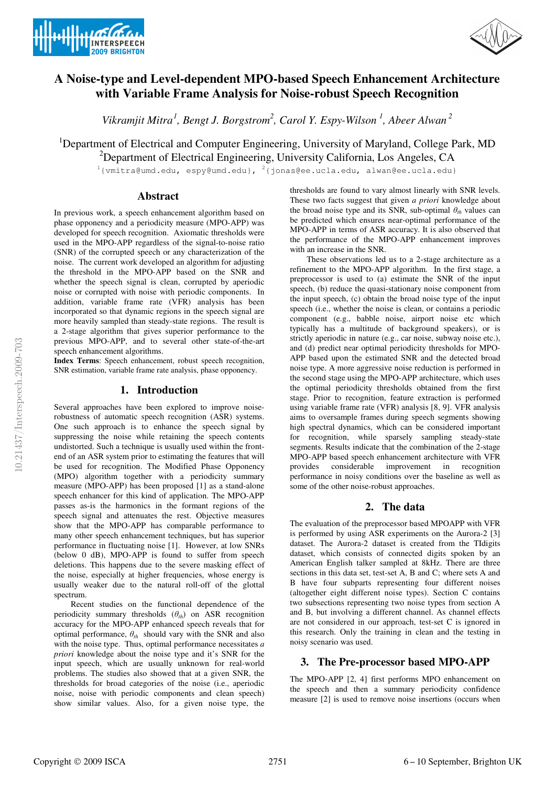



# **A Noise-type and Level-dependent MPO-based Speech Enhancement Architecture with Variable Frame Analysis for Noise-robust Speech Recognition**

Vikramjit Mitra<sup>1</sup>, Bengt J. Borgstrom<sup>2</sup>, Carol Y. Espy-Wilson<sup>1</sup>, Abeer Alwan<sup>2</sup>

<sup>1</sup>Department of Electrical and Computer Engineering, University of Maryland, College Park, MD

<sup>2</sup>Department of Electrical Engineering, University California, Los Angeles, CA

<sup>1</sup>{vmitra@umd.edu, espy@umd.edu}, <sup>2</sup>{jonas@ee.ucla.edu, alwan@ee.ucla.edu}

#### **Abstract**

In previous work, a speech enhancement algorithm based on phase opponency and a periodicity measure (MPO-APP) was developed for speech recognition. Axiomatic thresholds were used in the MPO-APP regardless of the signal-to-noise ratio (SNR) of the corrupted speech or any characterization of the noise. The current work developed an algorithm for adjusting the threshold in the MPO-APP based on the SNR and whether the speech signal is clean, corrupted by aperiodic noise or corrupted with noise with periodic components. In addition, variable frame rate (VFR) analysis has been incorporated so that dynamic regions in the speech signal are more heavily sampled than steady-state regions. The result is a 2-stage algorithm that gives superior performance to the previous MPO-APP, and to several other state-of-the-art speech enhancement algorithms.

**Index Terms**: Speech enhancement, robust speech recognition, SNR estimation, variable frame rate analysis, phase opponency.

## **1. Introduction**

Several approaches have been explored to improve noiserobustness of automatic speech recognition (ASR) systems. One such approach is to enhance the speech signal by suppressing the noise while retaining the speech contents undistorted. Such a technique is usually used within the frontend of an ASR system prior to estimating the features that will be used for recognition. The Modified Phase Opponency (MPO) algorithm together with a periodicity summary measure (MPO-APP) has been proposed [1] as a stand-alone speech enhancer for this kind of application. The MPO-APP passes as-is the harmonics in the formant regions of the speech signal and attenuates the rest. Objective measures show that the MPO-APP has comparable performance to many other speech enhancement techniques, but has superior performance in fluctuating noise [1]. However, at low SNRs (below 0 dB), MPO-APP is found to suffer from speech deletions. This happens due to the severe masking effect of the noise, especially at higher frequencies, whose energy is usually weaker due to the natural roll-off of the glottal spectrum.

Recent studies on the functional dependence of the periodicity summary thresholds  $(\theta_{th})$  on ASR recognition accuracy for the MPO-APP enhanced speech reveals that for optimal performance,  $\theta_{th}$  should vary with the SNR and also with the noise type. Thus, optimal performance necessitates *a priori* knowledge about the noise type and it's SNR for the input speech, which are usually unknown for real-world problems. The studies also showed that at a given SNR, the thresholds for broad categories of the noise (i.e., aperiodic noise, noise with periodic components and clean speech) show similar values. Also, for a given noise type, the

thresholds are found to vary almost linearly with SNR levels. These two facts suggest that given *a priori* knowledge about the broad noise type and its SNR, sub-optimal  $\theta_{th}$  values can be predicted which ensures near-optimal performance of the MPO-APP in terms of ASR accuracy. It is also observed that the performance of the MPO-APP enhancement improves with an increase in the SNR.

These observations led us to a 2-stage architecture as a refinement to the MPO-APP algorithm. In the first stage, a preprocessor is used to (a) estimate the SNR of the input speech, (b) reduce the quasi-stationary noise component from the input speech, (c) obtain the broad noise type of the input speech (i.e., whether the noise is clean, or contains a periodic component (e.g., babble noise, airport noise etc which typically has a multitude of background speakers), or is strictly aperiodic in nature (e.g., car noise, subway noise etc.), and (d) predict near optimal periodicity thresholds for MPO-APP based upon the estimated SNR and the detected broad noise type. A more aggressive noise reduction is performed in the second stage using the MPO-APP architecture, which uses the optimal periodicity thresholds obtained from the first stage. Prior to recognition, feature extraction is performed using variable frame rate (VFR) analysis [8, 9]. VFR analysis aims to oversample frames during speech segments showing high spectral dynamics, which can be considered important for recognition, while sparsely sampling steady-state segments. Results indicate that the combination of the 2-stage MPO-APP based speech enhancement architecture with VFR provides considerable improvement in recognition performance in noisy conditions over the baseline as well as some of the other noise-robust approaches.

# **2. The data**

The evaluation of the preprocessor based MPOAPP with VFR is performed by using ASR experiments on the Aurora-2 [3] dataset. The Aurora-2 dataset is created from the TIdigits dataset, which consists of connected digits spoken by an American English talker sampled at 8kHz. There are three sections in this data set, test-set A, B and C; where sets A and B have four subparts representing four different noises (altogether eight different noise types). Section C contains two subsections representing two noise types from section A and B, but involving a different channel. As channel effects are not considered in our approach, test-set C is ignored in this research. Only the training in clean and the testing in noisy scenario was used.

# **3. The Pre-processor based MPO-APP**

The MPO-APP [2, 4] first performs MPO enhancement on the speech and then a summary periodicity confidence measure [2] is used to remove noise insertions (occurs when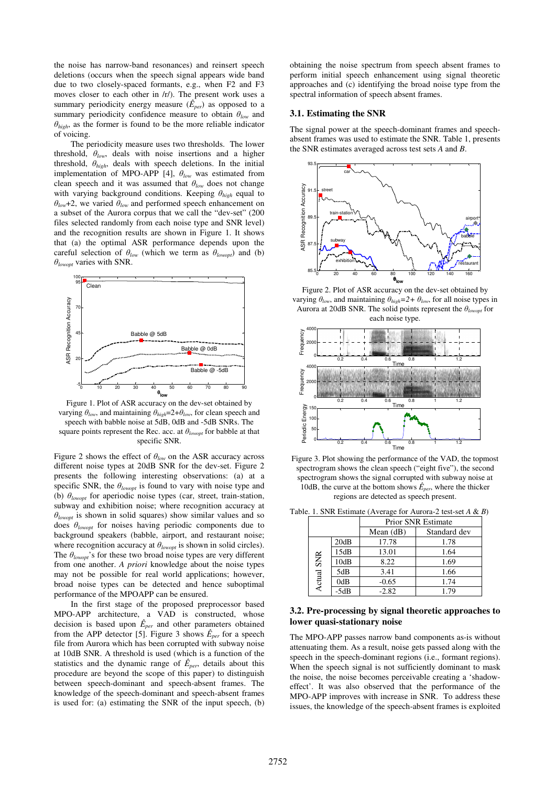the noise has narrow-band resonances) and reinsert speech deletions (occurs when the speech signal appears wide band due to two closely-spaced formants, e.g., when F2 and F3 moves closer to each other in /r/). The present work uses a summary periodicity energy measure  $(\hat{E}_{per})$  as opposed to a summary periodicity confidence measure to obtain  $\theta_{low}$  and  $\theta_{high}$ , as the former is found to be the more reliable indicator of voicing.

The periodicity measure uses two thresholds. The lower threshold,  $\theta_{low}$ , deals with noise insertions and a higher threshold,  $\theta_{high}$ , deals with speech deletions. In the initial implementation of MPO-APP [4],  $\theta_{low}$  was estimated from clean speech and it was assumed that  $\theta_{low}$  does not change with varying background conditions. Keeping  $\theta_{high}$  equal to  $\theta_{low}$ +2, we varied  $\theta_{low}$  and performed speech enhancement on a subset of the Aurora corpus that we call the "dev-set" (200 files selected randomly from each noise type and SNR level) and the recognition results are shown in Figure 1. It shows that (a) the optimal ASR performance depends upon the careful selection of  $\theta_{low}$  (which we term as  $\theta_{lowopt}$ ) and (b)  $\theta_{\text{lower}}$  varies with SNR.



Figure 1. Plot of ASR accuracy on the dev-set obtained by varying  $\theta_{low}$ , and maintaining  $\theta_{high} = 2 + \theta_{low}$ , for clean speech and speech with babble noise at 5dB, 0dB and -5dB SNRs. The square points represent the Rec. acc. at  $\theta_{\text{lower}}$  for babble at that specific SNR.

Figure 2 shows the effect of  $\theta_{low}$  on the ASR accuracy across different noise types at 20dB SNR for the dev-set. Figure 2 presents the following interesting observations: (a) at a specific SNR, the  $\theta_{\text{lower}}$  is found to vary with noise type and (b)  $\theta_{\text{lower}}$  for aperiodic noise types (car, street, train-station, subway and exhibition noise; where recognition accuracy at  $\theta_{\text{lower}}$  is shown in solid squares) show similar values and so does  $\theta_{\text{lower}}$  for noises having periodic components due to background speakers (babble, airport, and restaurant noise; where recognition accuracy at  $\theta_{\text{lower}}$  is shown in solid circles). The  $\theta_{\text{lower}}'$ 's for these two broad noise types are very different from one another. *A priori* knowledge about the noise types may not be possible for real world applications; however, broad noise types can be detected and hence suboptimal performance of the MPOAPP can be ensured.

In the first stage of the proposed preprocessor based MPO-APP architecture, a VAD is constructed, whose decision is based upon  $\hat{E}_{per}$  and other parameters obtained from the APP detector [5]. Figure 3 shows  $\hat{E}_{per}$  for a speech file from Aurora which has been corrupted with subway noise at 10dB SNR. A threshold is used (which is a function of the statistics and the dynamic range of  $\hat{E}_{per}$ , details about this procedure are beyond the scope of this paper) to distinguish between speech-dominant and speech-absent frames. The knowledge of the speech-dominant and speech-absent frames is used for: (a) estimating the SNR of the input speech, (b) obtaining the noise spectrum from speech absent frames to perform initial speech enhancement using signal theoretic approaches and (c) identifying the broad noise type from the spectral information of speech absent frames.

#### **3.1. Estimating the SNR**

The signal power at the speech-dominant frames and speechabsent frames was used to estimate the SNR. Table 1, presents the SNR estimates averaged across test sets *A* and *B*.



Figure 2. Plot of ASR accuracy on the dev-set obtained by varying  $\theta_{low}$ , and maintaining  $\theta_{high}=2+\theta_{low}$ , for all noise types in Aurora at 20dB SNR. The solid points represent the  $\theta_{\text{lower}}$  for each noise type.



Figure 3. Plot showing the performance of the VAD, the topmost spectrogram shows the clean speech ("eight five"), the second spectrogram shows the signal corrupted with subway noise at 10dB, the curve at the bottom shows  $\hat{E}_{per}$ , where the thicker regions are detected as speech present.

|                   |        | <b>Prior SNR Estimate</b> |              |  |
|-------------------|--------|---------------------------|--------------|--|
|                   |        | Mean $(dB)$               | Standard dev |  |
| <b>Actual SNR</b> | 20dB   | 17.78                     | 1.78         |  |
|                   | 15dB   | 13.01                     | 1.64         |  |
|                   | 10dB   | 8.22                      | 1.69         |  |
|                   | 5dB    | 3.41                      | 1.66         |  |
|                   | 0dB    | $-0.65$                   | 1.74         |  |
|                   | $-5dB$ | $-2.82$                   | 1.79         |  |

Table. 1. SNR Estimate (Average for Aurora-2 test-set *A* & *B*)

### **3.2. Pre-processing by signal theoretic approaches to lower quasi-stationary noise**

The MPO-APP passes narrow band components as-is without attenuating them. As a result, noise gets passed along with the speech in the speech-dominant regions (i.e., formant regions). When the speech signal is not sufficiently dominant to mask the noise, the noise becomes perceivable creating a 'shadoweffect'. It was also observed that the performance of the MPO-APP improves with increase in SNR. To address these issues, the knowledge of the speech-absent frames is exploited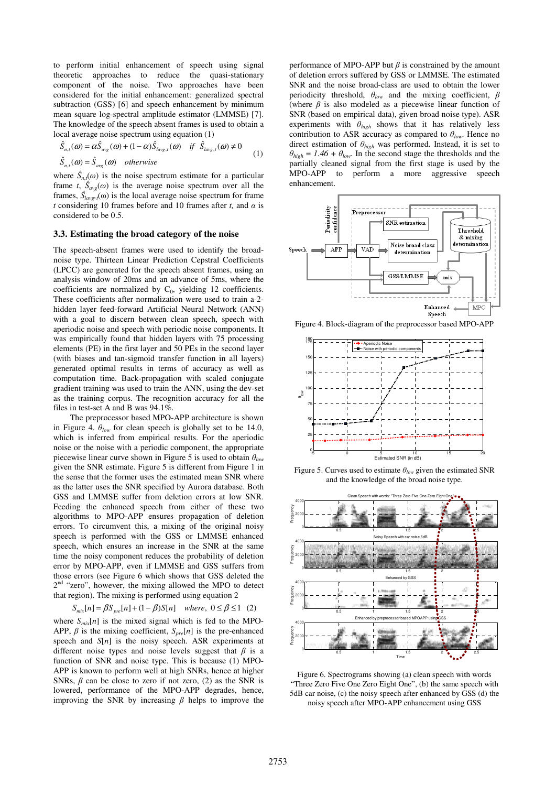to perform initial enhancement of speech using signal theoretic approaches to reduce the quasi-stationary component of the noise. Two approaches have been considered for the initial enhancement: generalized spectral subtraction (GSS) [6] and speech enhancement by minimum mean square log-spectral amplitude estimator (LMMSE) [7]. The knowledge of the speech absent frames is used to obtain a local average noise spectrum using equation (1)

$$
\hat{S}_{n,t}(\omega) = \alpha \hat{S}_{avg}(\omega) + (1 - \alpha) \hat{S}_{lavg,t}(\omega) \quad \text{if} \quad \hat{S}_{lavg,t}(\omega) \neq 0
$$
\n
$$
\hat{S}_{n,t}(\omega) = \hat{S}_{avg}(\omega) \quad \text{otherwise}
$$
\n(1)

where  $\hat{S}_{n,t}(\omega)$  is the noise spectrum estimate for a particular frame *t*,  $\hat{S}_{avg}(\omega)$  is the average noise spectrum over all the frames,  $\hat{S}_{lavg}$ , ( $\omega$ ) is the local average noise spectrum for frame *t* considering 10 frames before and 10 frames after *t*, and  $\alpha$  is considered to be 0.5.

#### **3.3. Estimating the broad category of the noise**

The speech-absent frames were used to identify the broadnoise type. Thirteen Linear Prediction Cepstral Coefficients (LPCC) are generated for the speech absent frames, using an analysis window of 20ms and an advance of 5ms, where the coefficients are normalized by  $C_0$ , yielding 12 coefficients. These coefficients after normalization were used to train a 2 hidden layer feed-forward Artificial Neural Network (ANN) with a goal to discern between clean speech, speech with aperiodic noise and speech with periodic noise components. It was empirically found that hidden layers with 75 processing elements (PE) in the first layer and 50 PEs in the second layer (with biases and tan-sigmoid transfer function in all layers) generated optimal results in terms of accuracy as well as computation time. Back-propagation with scaled conjugate gradient training was used to train the ANN, using the dev-set as the training corpus. The recognition accuracy for all the files in test-set A and B was 94.1%.

The preprocessor based MPO-APP architecture is shown in Figure 4.  $\theta_{low}$  for clean speech is globally set to be 14.0, which is inferred from empirical results. For the aperiodic noise or the noise with a periodic component, the appropriate piecewise linear curve shown in Figure 5 is used to obtain  $\theta_{low}$ given the SNR estimate. Figure 5 is different from Figure 1 in the sense that the former uses the estimated mean SNR where as the latter uses the SNR specified by Aurora database. Both GSS and LMMSE suffer from deletion errors at low SNR. Feeding the enhanced speech from either of these two algorithms to MPO-APP ensures propagation of deletion errors. To circumvent this, a mixing of the original noisy speech is performed with the GSS or LMMSE enhanced speech, which ensures an increase in the SNR at the same time the noisy component reduces the probability of deletion error by MPO-APP, even if LMMSE and GSS suffers from those errors (see Figure 6 which shows that GSS deleted the 2nd "zero", however, the mixing allowed the MPO to detect that region). The mixing is performed using equation 2

$$
S_{mix}[n] = \beta S_{pre}[n] + (1 - \beta)S[n] \quad where, \ 0 \le \beta \le 1 \quad (2)
$$

where  $S_{mix}[n]$  is the mixed signal which is fed to the MPO-APP,  $\beta$  is the mixing coefficient,  $S_{pre}[n]$  is the pre-enhanced speech and *S*[*n*] is the noisy speech. ASR experiments at different noise types and noise levels suggest that  $\beta$  is a function of SNR and noise type. This is because (1) MPO-APP is known to perform well at high SNRs, hence at higher SNRs,  $\beta$  can be close to zero if not zero, (2) as the SNR is lowered, performance of the MPO-APP degrades, hence, improving the SNR by increasing  $\beta$  helps to improve the performance of MPO-APP but  $\beta$  is constrained by the amount of deletion errors suffered by GSS or LMMSE. The estimated SNR and the noise broad-class are used to obtain the lower periodicity threshold,  $\theta_{low}$  and the mixing coefficient,  $\beta$ (where  $\beta$  is also modeled as a piecewise linear function of SNR (based on empirical data), given broad noise type). ASR experiments with  $\theta_{high}$  shows that it has relatively less contribution to ASR accuracy as compared to  $\theta_{low}$ . Hence no direct estimation of  $\theta_{high}$  was performed. Instead, it is set to  $\theta_{high} = 1.46 + \theta_{low}$ . In the second stage the thresholds and the partially cleaned signal from the first stage is used by the MPO-APP to perform a more aggressive speech enhancement.



Figure 4. Block-diagram of the preprocessor based MPO-APP



Figure 5. Curves used to estimate  $\theta_{low}$  given the estimated SNR and the knowledge of the broad noise type.



Figure 6. Spectrograms showing (a) clean speech with words "Three Zero Five One Zero Eight One", (b) the same speech with 5dB car noise, (c) the noisy speech after enhanced by GSS (d) the noisy speech after MPO-APP enhancement using GSS